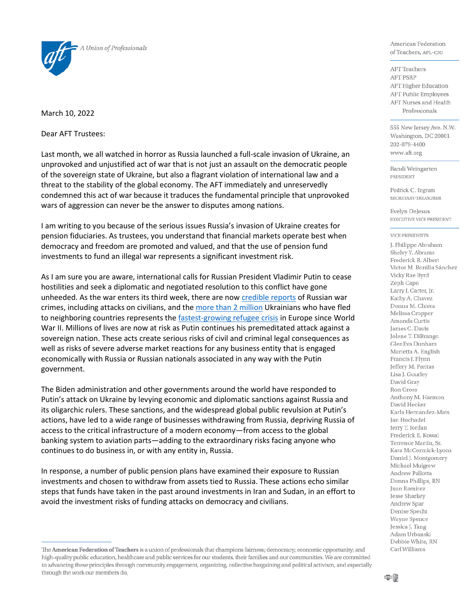

March 10, 2022

Dear AFT Trustees:

Last month, we all watched in horror as Russia launched a full-scale invasion of Ukraine, an unprovoked and unjustified act of war that is not just an assault on the democratic people of the sovereign state of Ukraine, but also a flagrant violation of international law and a threat to the stability of the global economy. The AFT immediately and unreservedly condemned this act of war because it traduces the fundamental principle that unprovoked wars of aggression can never be the answer to disputes among nations.

I am writing to you because of the serious issues Russia's invasion of Ukraine creates for pension fiduciaries. As trustees, you understand that financial markets operate best when democracy and freedom are promoted and valued, and that the use of pension fund investments to fund an illegal war represents a significant investment risk.

As I am sure you are aware, international calls for Russian President Vladimir Putin to cease hostilities and seek a diplomatic and negotiated resolution to this conflict have gone unheeded. As the war enters its third week, there are no[w credible reports](https://www.newsweek.com/us-has-credible-reports-russian-war-crimes-ukraine-blinken-says-1685296) of Russian war crimes, including attacks on civilians, and the [more than 2 million](https://www.wsj.com/articles/ukraine-refugees-war-11646758280) Ukrainians who have fled to neighboring countries represents the [fastest-growing refugee crisis](https://www.cnn.com/europe/live-news/ukraine-russia-putin-news-03-06-22/h_034974d19dabeb9ae7c19069427d348d) in Europe since World War II. Millions of lives are now at risk as Putin continues his premeditated attack against a sovereign nation. These acts create serious risks of civil and criminal legal consequences as well as risks of severe adverse market reactions for any business entity that is engaged economically with Russia or Russian nationals associated in any way with the Putin government.

The Biden administration and other governments around the world have responded to Putin's attack on Ukraine by levying economic and diplomatic sanctions against Russia and its oligarchic rulers. These sanctions, and the widespread global public revulsion at Putin's actions, have led to a wide range of businesses withdrawing from Russia, depriving Russia of access to the critical infrastructure of a modern economy—from access to the global banking system to aviation parts—adding to the extraordinary risks facing anyone who continues to do business in, or with any entity in, Russia.

In response, a number of public pension plans have examined their exposure to Russian investments and chosen to withdraw from assets tied to Russia. These actions echo similar steps that funds have taken in the past around investments in Iran and Sudan, in an effort to avoid the investment risks of funding attacks on democracy and civilians.

American Federation of Teachers, AFL-CIO

**AFT** Teachers **AFT PSRP AFT Higher Education AFT Public Employees** AFT Nurses and Health Professionals

555 New Jersey Ave. N.W. Washington, DC 20001 202-879-4400 www.aft.org

Randi Weingarten PRESIDENT

Fedrick C. Ingram SECRETARY-TREASURER

Evelyn DeJesus EXECUTIVE VICE PRESIDENT

## **VICE PRESIDENTS**

J. Philippe Abraham Shelvy Y. Abrams Frederick R. Albert Victor M. Bonilla Sánchez Vicky Rae Byrd Zeph Capo Larry J. Carter, Jr. Kathy A. Chavez Donna M. Chiera Melissa Cropper Amanda Curtis James C. Davis Jolene T. DiBrango GlenEva Dunham Marietta A. English Francis I. Flynn Jeffery M. Freitas Lisa J. Gourley David Gray Ron Gross Anthony M. Harmon David Hecker Karla Hernandez-Mats Jan Hochadel Jerry T. Jordan Frederick E. Kowal Terrence Martin, Sr. Kara McCormick-Lyons Daniel J. Montgomery Michael Mulgrew Andrew Pallotta Donna Phillips, RN Juan Ramirez Jesse Sharkey Andrew Spar Denise Specht Wayne Spence Jessica J. Tang Adam Urbanski Debbie White, RN Carl Williams

The American Federation of Teachers is a union of professionals that champions fairness; democracy; economic opportunity; and high-quality public education, healthcare and public services for our students, their families and our communities. We are committed to advancing these principles through community engagement, organizing, collective bargaining and political activism, and especially through the work our members do.